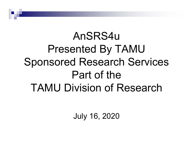# AnSRS4uPresented By TAMU Sponsored Research Services Part of the TAMU Division of Research

July 16, 2020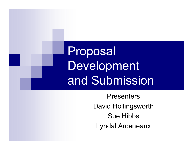Proposal Development and Submission

> **Presenters** David Hollingsworth Sue HibbsLyndal Arceneaux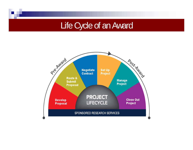#### Life Cycle of an Award

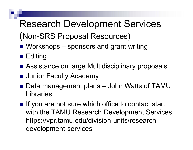# Research Development Services

- (Non-SRS Proposal Resources)
- Workshops sponsors and grant writing
- Editing
- Assistance on large Multidisciplinary proposals
- **<u>■</u>** Junior Faculty Academy
- $\frac{1}{2}$  Data management plans – John Watts of TAMU Libraries
- $\blacksquare$  If you are not sure which office to contact start with the TAMU Research Development Services https://vpr.tamu.edu/division-units/researchdevelopment-services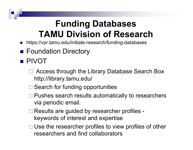### **Funding Databases TAMU Division of Research**

- $\mathcal{L}_{\text{eff}}$ https://vpr.tamu.edu/initiate-research/funding-databases
- **Foundation Directory**
- PIVOT
	- Access through the Library Database Search Box http://library.tamu.edu/
	- □ Search for funding opportunities
	- □ Pushes search results automatically to researchers via periodic email.
	- □ Results are guided by researcher profiles keywords of interest and expertise
	- $\Box$  Use the researcher profiles to view profiles of other researchers and find collaborators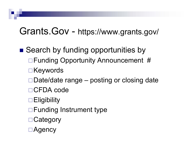#### Grants.Gov - https://www.grants.gov/

- Search by funding opportunities by □ Funding Opportunity Announcement # **□Keywords** Date/date range – posting or closing date □ CFDA code **Eligibility** □ Funding Instrument type **□ Category** 
	- Agency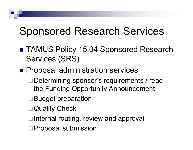# Sponsored Research Services

- TAMUS Policy 15.04 Sponsored Research Services (SRS)
- **Proposal administration services** 
	- Determining sponsor's requirements / read the Funding Opportunity Announcement
	- Budget preparation
	- Quality Check
	- $\Box$  Internal routing, review and approval
	- □ Proposal submission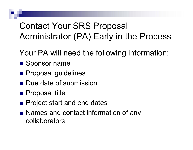#### Contact Your SRS Proposal Administrator (PA) Early in the Process

- Your PA will need the following information:
- **Sponsor name**
- **Proposal guidelines**
- **Due date of submission**
- **Proposal title**
- **Project start and end dates**
- Names and contact information of any collaborators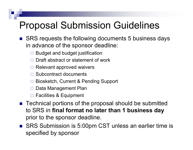### Proposal Submission Guidelines

- SRS requests the following documents 5 business days in advance of the sponsor deadline:
	- $\Box$ Budget and budget justification
	- $\Box$ Draft abstract or statement of work
	- $\Box$ Relevant approved waivers
	- $\Box$ Subcontract documents
	- $\Box$ Biosketch, Current & Pending Support
	- $\Box$ Data Management Plan
	- $\Box$ Facilities & Equipment
- Technical portions of the proposal should be submitted to SRS in **final format no later than 1 business day** prior to the sponsor deadline.
- SRS Submission is 5:00pm CST unless an earlier time is specified by sponsor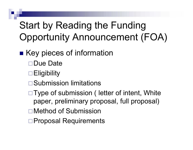# Start by Reading the Funding Opportunity Announcement (FOA)

#### **EXEGO Key pieces of information**

- Due Date
- **□Eligibility**
- **□Submission limitations**
- □Type of submission ( letter of intent, White paper, preliminary proposal, full proposal)
- Method of Submission
- □ Proposal Requirements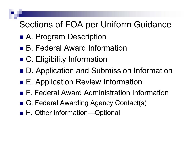#### Sections of FOA per Uniform Guidance

- A. Program Description
- B. Federal Award Information
- C. Eligibility Information
- D. Application and Submission Information
- E. Application Review Information
- F. Federal Award Administration Information
- G. Federal Awarding Agency Contact(s)
- H. Other Information—Optional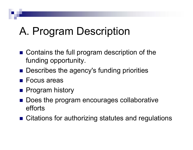# A. Program Description

- Contains the full program description of the funding opportunity.
- **Describes the agency's funding priorities**
- Focus areas
- **Program history**
- Does the program encourages collaborative efforts
- Citations for authorizing statutes and regulations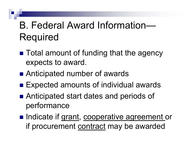# B. Federal Award Information—Required

- Total amount of funding that the agency expects to award.
- Anticipated number of awards
- Expected amounts of individual awards
- Anticipated start dates and periods of performance
- Indicate if grant, cooperative agreement or if procurement contract may be awarded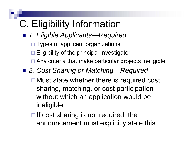# C. Eligibility Information

- *1. Eligible Applicants—Required*
	- □ Types of applicant organizations
	- $\Box$  Eligibility of the principal investigator
	- □ Any criteria that make particular projects ineligible
- *2. Cost Sharing or Matching—Required*
	- **□Must state whether there is required cost** sharing, matching, or cost participation without which an application would be ineligible.
	- $\Box$  If cost sharing is not required, the announcement must explicitly state this.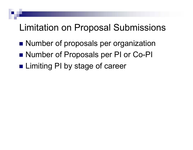#### Limitation on Proposal Submissions

- **Number of proposals per organization**
- Number of Proposals per PI or Co-PI
- **Limiting PI by stage of career**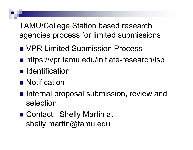TAMU/College Station based research agencies process for limited submissions

- **NOR Limited Submission Process**
- https://vpr.tamu.edu/initiate-research/lsp
- **I** Identification
- **Notification**
- **Internal proposal submission, review and** selection
- Contact: Shelly Martin at shelly.martin@tamu.edu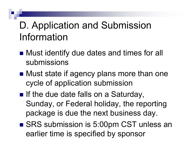# D. Application and Submission Information

- Must identify due dates and times for all submissions
- Must state if agency plans more than one cycle of application submission
- $\blacksquare$  If the due date falls on a Saturday, Sunday, or Federal holiday, the reporting package is due the next business day.
- SRS submission is 5:00pm CST unless an earlier time is specified by sponsor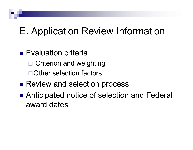# E. Application Review Information

- **Evaluation criteria** 
	- □ Criterion and weighting
	- Other selection factors
- **Review and selection process**
- Anticipated notice of selection and Federal award dates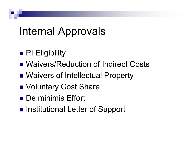# Internal Approvals

- **PI Eligibility**
- Waivers/Reduction of Indirect Costs
- **Naivers of Intellectual Property**
- **Noluntary Cost Share**
- De minimis Effort
- Institutional Letter of Support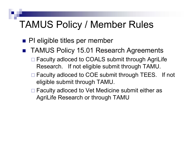#### TAMUS Policy / Member Rules

- **PI** eligible titles per member
- $\frac{1}{2}$  TAMUS Policy 15.01 Research Agreements
	- □ Faculty adloced to COALS submit through AgriLife Research. If not eligible submit through TAMU.
	- □ Faculty adloced to COE submit through TEES. If not eligible submit through TAMU.
	- □ Faculty adloced to Vet Medicine submit either as AgriLife Research or through TAMU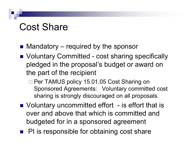### Cost Share

- Mandatory required by the sponsor
- Voluntary Committed cost sharing specifically pledged in the proposal's budget or award on the part of the recipient
	- □ Per TAMUS policy 15.01.05 Cost Sharing on Sponsored Agreements: Voluntary committed cost sharing is strongly discouraged on all proposals.
- Voluntary uncommitted effort is effort that is over and above that which is committed and budgeted for in a sponsored agreement
- **PI** is responsible for obtaining cost share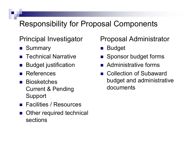#### Responsibility for Proposal Components

#### Principal Investigator

- **Bummary**
- **Technical Narrative**
- F. Budget justification
- F. References
- F. Biosketches Current & Pending Support
- **Facilities / Resources**
- F. Other required technical sections

#### Proposal Administrator

- M. Budget
- **Sponsor budget forms**
- **Administrative forms**
- Collection of Subaward budget and administrative documents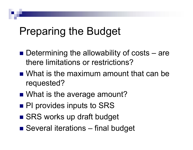# Preparing the Budget

- Determining the allowability of costs are there limitations or restrictions?
- What is the maximum amount that can be requested?
- What is the average amount?
- **PI provides inputs to SRS**
- SRS works up draft budget
- Several iterations final budget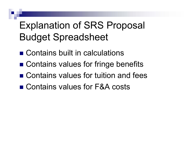# Explanation of SRS Proposal Budget Spreadsheet

- Contains built in calculations
- Contains values for fringe benefits
- Contains values for tuition and fees
- Contains values for F&A costs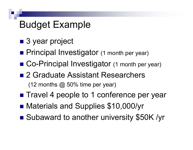## Budget Example

- 3 year project
- **Principal Investigator** (1 month per year)
- Co-Principal Investigator (1 month per year)
- 2 Graduate Assistant Researchers (12 months  $@$  50% time per year)
- Travel 4 people to 1 conference per year
- **Materials and Supplies \$10,000/yr**
- ■ Subaward to another university \$50K /yr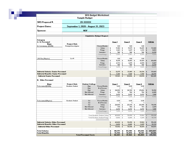|                                           |                         |                                     | <b>SRS Budget Worksheet</b>                                              |                                        |                              |                                   |                                             |                                                                                                          |
|-------------------------------------------|-------------------------|-------------------------------------|--------------------------------------------------------------------------|----------------------------------------|------------------------------|-----------------------------------|---------------------------------------------|----------------------------------------------------------------------------------------------------------|
|                                           |                         | <b>Sample Budget</b>                |                                                                          |                                        |                              |                                   |                                             |                                                                                                          |
| SRS Proposal #:                           |                         | 20-XXXXX                            |                                                                          |                                        |                              |                                   |                                             |                                                                                                          |
| <b>Project Dates:</b>                     |                         | September 1, 2020 - August 31, 2023 |                                                                          |                                        |                              |                                   |                                             |                                                                                                          |
| Sponsor:                                  |                         | <b>NSF</b>                          |                                                                          |                                        |                              |                                   |                                             |                                                                                                          |
|                                           |                         |                                     | <b>Cunulative Budget Request</b>                                         |                                        |                              |                                   |                                             |                                                                                                          |
|                                           |                         |                                     |                                                                          |                                        |                              |                                   |                                             |                                                                                                          |
| Category                                  |                         |                                     |                                                                          |                                        |                              |                                   |                                             |                                                                                                          |
| A. Sr Personnel                           |                         |                                     |                                                                          | Year 1                                 | Year 2                       | Year 3                            |                                             | <b>TOTAL</b>                                                                                             |
| Name                                      | <b>Project Role</b>     |                                     |                                                                          |                                        |                              |                                   |                                             |                                                                                                          |
| G. I. Lovemoney (ECEN)                    | Principal Investigator  |                                     | Person Months                                                            | 1.00                                   | 1.00                         | 1.00                              |                                             |                                                                                                          |
|                                           |                         |                                     | Salary                                                                   | $17,160$ \$<br>\$                      | $17,675$ \$                  | 18,205                            | \$                                          | 53,040                                                                                                   |
|                                           |                         |                                     | Fringe                                                                   | $3,123$ \$<br>\$                       | $3,217$ \$                   | 3,313                             | 1                                           | 3,653                                                                                                    |
|                                           |                         |                                     | Insurance                                                                | 746<br>\$                              | 746<br>\$                    | 746<br>\$                         |                                             | 2,238                                                                                                    |
|                                           |                         |                                     | <b>Total Fringe</b>                                                      | 3,869<br>\$                            | 3,963<br>\$                  | 4,059<br>\$                       |                                             | 11,891                                                                                                   |
| I. M. Fine (Physics)                      | Co-Pl                   |                                     | Person Months                                                            | 1.00                                   | 1.00                         | 1.00                              |                                             |                                                                                                          |
|                                           |                         |                                     | Salary                                                                   | $15,015$ \$<br>\$                      | $15,465$ \$                  | $15,323$ \$                       |                                             | 46,409                                                                                                   |
|                                           |                         |                                     | Fringe                                                                   | 2,733<br>\$                            | 2,815<br>$\ddot{\mathbf{r}}$ | 2,899<br>$\cdot$                  |                                             | 8,447                                                                                                    |
|                                           |                         |                                     | Insurance                                                                | 746<br>\$                              | 746<br>\$                    | 746<br>\$                         |                                             | 2,238                                                                                                    |
|                                           |                         |                                     | <b>Total Fringe</b>                                                      | 3,479<br>\$                            | 3,561<br>\$                  | 3,645<br>\$                       |                                             | 10,685                                                                                                   |
|                                           |                         |                                     |                                                                          |                                        |                              |                                   |                                             |                                                                                                          |
|                                           |                         |                                     |                                                                          |                                        |                              |                                   |                                             |                                                                                                          |
|                                           |                         |                                     |                                                                          |                                        |                              |                                   |                                             |                                                                                                          |
| <b>Subtotal Salaries Senior Personnel</b> |                         |                                     |                                                                          | 32,175                                 | 33,140<br>$\sqrt{2}$         | 34,134<br>$\overline{\mathbf{1}}$ | t                                           | 33,443                                                                                                   |
| <b>Subtotal Benefits Senior Personnel</b> |                         |                                     |                                                                          | 7,348                                  | 7,524                        | 7,704                             |                                             |                                                                                                          |
| <b>Subtotal Senior Personnel</b>          |                         |                                     |                                                                          | $39,523$ \$                            | 40,664                       | 41,838<br>1                       | $\overline{\mathbf{1}}$                     |                                                                                                          |
| <b>B. Other Personnel</b>                 |                         |                                     |                                                                          |                                        |                              |                                   |                                             |                                                                                                          |
| <b>Name</b>                               | <b>Project Role</b>     | <b>Student College</b>              |                                                                          | Year 1                                 | Year 2                       | Year 3                            |                                             | <b>TOTAL</b>                                                                                             |
| To be named (ECEN)                        | <b>Graduate Student</b> | Eng                                 | Person Months                                                            | 6.00                                   | 6.00                         | 6.00                              |                                             |                                                                                                          |
|                                           |                         | Eng                                 | # of Persons                                                             | 1                                      | 1                            | 1                                 |                                             |                                                                                                          |
|                                           |                         | Eng                                 | Salary                                                                   | 24,000<br>\$                           | $24,720$   \$<br>- 1         | 25,462                            | \$                                          |                                                                                                          |
|                                           |                         | Not Allowed                         | Fringe                                                                   | 720<br>\$.                             | $742 \mid 1$<br>.,           | 764                               |                                             | 22,576<br>122,025<br>74,182<br>2,226                                                                     |
|                                           |                         | Not Allowed                         | Insurance                                                                | \$<br>2,472                            | 2,472<br>\$                  | \$<br>2,472                       |                                             |                                                                                                          |
|                                           |                         |                                     | <b>Total Fringe</b>                                                      | 3,192<br>\$                            | 3,214<br>\$                  | 3,236<br>\$                       |                                             |                                                                                                          |
|                                           | Graduate Student        | Sci                                 | Person Months                                                            | 6.00                                   | 6.00                         | 6.00                              |                                             |                                                                                                          |
| To be named (Physics)                     |                         | Sci                                 | # of Persons                                                             | 1                                      | 1                            | 1                                 |                                             |                                                                                                          |
|                                           |                         | Sci                                 | Salary                                                                   | $24,600$ \$<br>\$                      | $25,338$ \$                  | 26,098 \$                         |                                             |                                                                                                          |
|                                           |                         | Not Allowed                         | Fringe                                                                   | 738 \$<br>\$                           | $760$   \$                   | 783                               | 1                                           |                                                                                                          |
|                                           |                         | Not Allowed                         | Insurance                                                                | 2,472<br>\$                            | 2,472<br>\$                  | 2,472<br>\$                       |                                             |                                                                                                          |
|                                           |                         |                                     | <b>Total Fringe</b>                                                      | 3,210                                  | 3,232<br>t                   | 3,255<br>t.                       |                                             |                                                                                                          |
|                                           |                         |                                     |                                                                          |                                        |                              |                                   |                                             |                                                                                                          |
|                                           |                         |                                     | Total Graduate Student Salary   \$<br>Total Graduate Student Fringe   \$ | $48,600$   \$<br>$6,402$ \$            | $50,058$ \$<br>$6,446$ \$    | $51,560$ \$<br>$6,431$ \$         |                                             |                                                                                                          |
|                                           |                         |                                     |                                                                          |                                        |                              |                                   |                                             |                                                                                                          |
| Subtotal Salaries Other Personnel         |                         |                                     |                                                                          | \$<br>$48,600$ \$                      | 50,058 \$                    | 51,560 \$                         |                                             |                                                                                                          |
| Subtotal Benefits Other Personnel         |                         |                                     |                                                                          | $6,402$ \$                             | $6,446$ \$                   | $6,431$ \$                        |                                             |                                                                                                          |
| <b>Subtotal Other Personnel</b>           |                         |                                     |                                                                          | 55,002 \$<br>\$                        | 56,504 \$                    | $58,051$ \$                       |                                             | 7,416<br>9,642<br>76,036<br>2,281<br>7,416<br>3,637<br>150,218<br>19,339<br>150,218<br>19,339<br>169,557 |
| Total Salaries                            |                         |                                     |                                                                          |                                        |                              |                                   |                                             | 249,667                                                                                                  |
| <b>Total Benefits</b>                     |                         |                                     |                                                                          | $80,775$ \$<br>\$<br>$13,750$ \$<br>\$ | $83,198$ \$<br>$13,970$ \$   | 85,694<br>14,195                  | $\ddot{\phantom{1}}$<br>$\ddot{\mathbf{r}}$ | 41,915                                                                                                   |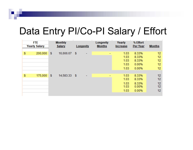## Data Entry PI/Co-PI Salary / Effort

| <b>FTE</b><br><b>Yearly Salary</b> |         |    | <b>Monthly</b><br>Salary | Longevity |   |                          |  |      |       |    |  | Longevity<br><b>Months</b> | Yearly<br><b>Increase</b> |  | % Effort<br><b>Per Year</b> | <b>Months</b> |
|------------------------------------|---------|----|--------------------------|-----------|---|--------------------------|--|------|-------|----|--|----------------------------|---------------------------|--|-----------------------------|---------------|
| \$                                 | 200,000 | \$ | 16,666.67                | -5        | ۰ | $\overline{\phantom{0}}$ |  | 1.03 | 8.33% | 12 |  |                            |                           |  |                             |               |
|                                    |         |    |                          |           |   |                          |  | 1.03 | 8.33% | 12 |  |                            |                           |  |                             |               |
|                                    |         |    |                          |           |   |                          |  | 1.03 | 8.33% | 12 |  |                            |                           |  |                             |               |
|                                    |         |    |                          |           |   |                          |  | 1.03 | 0.00% | 12 |  |                            |                           |  |                             |               |
|                                    |         |    |                          |           |   |                          |  | 1.03 | 0.00% | 12 |  |                            |                           |  |                             |               |
|                                    |         |    |                          |           |   |                          |  |      |       |    |  |                            |                           |  |                             |               |
| \$                                 | 175,000 | -5 | 14,583.33 \$             |           | ۰ | ۰                        |  | 1.03 | 8.33% | 12 |  |                            |                           |  |                             |               |
|                                    |         |    |                          |           |   |                          |  | 1.03 | 8.33% | 12 |  |                            |                           |  |                             |               |
|                                    |         |    |                          |           |   |                          |  | 1.03 | 8.33% | 12 |  |                            |                           |  |                             |               |
|                                    |         |    |                          |           |   |                          |  | 1.03 | 0.00% | 12 |  |                            |                           |  |                             |               |
|                                    |         |    |                          |           |   |                          |  | 1.03 | 0.00% | 12 |  |                            |                           |  |                             |               |
|                                    |         |    |                          |           |   |                          |  |      |       |    |  |                            |                           |  |                             |               |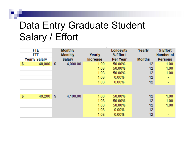## Data Entry Graduate Student Salary / Effort

|                | <b>FTE</b><br><b>FTE</b><br><b>Yearly Salary</b> |     | <b>Monthly</b><br><b>Monthly</b><br>Salary | Yearly<br><b>Increase</b>            | Longevity<br>% Effort<br>Per Year            | Yearly<br><b>Months</b>    | % Effort<br><b>Number</b> of<br><b>Persons</b> |
|----------------|--------------------------------------------------|-----|--------------------------------------------|--------------------------------------|----------------------------------------------|----------------------------|------------------------------------------------|
| \$             | 48,000                                           | \$. | 4,000.00                                   | 1.00<br>1.03<br>1.03<br>1.03<br>1.03 | 50.00%<br>50.00%<br>50.00%<br>0.00%<br>0.00% | 12<br>12<br>12<br>12<br>12 | 1.00<br>1.00<br>1.00                           |
| $\mathfrak{F}$ | 49,200                                           | \$  | 4,100.00                                   | 1.00<br>1.03<br>1.03<br>1.03<br>1.03 | 50.00%<br>50.00%<br>50.00%<br>0.00%<br>0.00% | 12<br>12<br>12<br>12<br>12 | 1.00<br>1.00<br>1.00                           |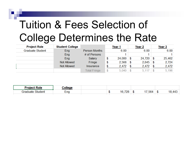# Tuition & Fees Selection of College Determines the Rate

| <b>Project Role</b>     | <b>Student College</b> |                      | Year 1       | Year 2       | Year 3 |
|-------------------------|------------------------|----------------------|--------------|--------------|--------|
| <b>Graduate Student</b> | Eng                    | <b>Person Months</b> | 6.00         | 6.00         | 6.00   |
|                         | Eng                    | # of Persons         |              |              |        |
|                         | Eng                    | Salary               | \$<br>24,000 | \$<br>24,720 | 25,462 |
|                         | <b>Not Allowed</b>     | Fringe               | 2,568        | \$<br>2,645  | 2,724  |
|                         | <b>Not Allowed</b>     | <b>Insurance</b>     | 2,472        | 2,472        | 2,472  |
|                         |                        | <b>Total Fringe</b>  | 5,040        | 5.117        | 5,196  |

| <b>Project Role</b>      | مصمالہ |  |            |      |    |        |
|--------------------------|--------|--|------------|------|----|--------|
| Gradi<br>Student<br>нате | $-m$   |  | 70 O<br>20 | 564. | ٠n | 18,443 |
|                          |        |  |            |      |    |        |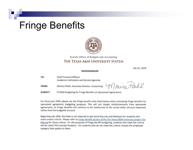#### Fringe Benefits



System Office of Budgets and Accounting

#### THE TEXAS A&M UNIVERSITY SYSTEM

July 31, 2019

#### MEMORANDUM

| TO:   | <b>Chief Financial Officers</b>              |
|-------|----------------------------------------------|
|       | Academic Institutions and Service Agencies   |
| FROM: | Monica Poehl, Associate Director, Accounting |

Monica Pache

**SUBJECT:** FY2020 Budgeting for Fringe Benefits on Sponsored Agreements

For fiscal year 2020, please use the fringe benefit rates listed below when calculating fringe benefits for sponsored agreement budgeting purposes. This will not impact reimbursements from sponsored agreements, as fringe benefits will continue to be reimbursed at the actual dollar amount expensed, rather than the budgeted amount.

Beginning July 2000, the State is not required to pay Social Security and Medicare for students who meet certain criteria. Please refer to Fringe Benefit section of the The Texas A&M University System Tax Manual for those criteria. For the purposes of fringe benefit budgeting, students that meet the criteria will be called FICA Exempt Students. For students who do not meet the criteria, choose the employee category that applies to them.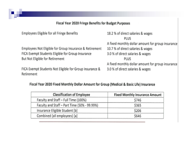#### Fiscal Year 2020 Fringe Benefits for Budget Purposes

| Employees Eligible for all Fringe Benefits              | 18.2 % of direct salaries & wages                 |
|---------------------------------------------------------|---------------------------------------------------|
|                                                         | PLUS                                              |
|                                                         | A fixed monthly dollar amount for group insurance |
| Employees Not Eligible for Group Insurance & Retirement | 10.7 % of direct salaries & wages                 |
| FICA Exempt Students Eligible for Group Insurance       | 3.0 % of direct salaries & wages                  |
| But Not Eligible for Retirement                         | PLUS                                              |
|                                                         | A fixed monthly dollar amount for group insurance |
| FICA Exempt Students Not Eligible for Group Insurance & | 3.0 % of direct salaries & wages                  |
| Retirement                                              |                                                   |

#### Fiscal Year 2020 Fixed Monthly Dollar Amount for Group (Medical & Basic Life) Insurance

| <b>Classification of Employee</b>            | <b>Fixed Monthly Insurance Amount</b> |  |  |  |  |  |  |
|----------------------------------------------|---------------------------------------|--|--|--|--|--|--|
| Faculty and Staff - Full Time (100%)         | \$746                                 |  |  |  |  |  |  |
| Faculty and Staff - Part Time (50% - 99.99%) | \$365                                 |  |  |  |  |  |  |
| Insurance Eligible Student [b]               | \$206                                 |  |  |  |  |  |  |
| Combined (all employees) [a]                 | \$646                                 |  |  |  |  |  |  |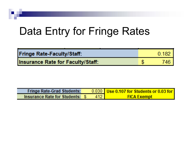# Data Entry for Fringe Rates

| <b>Fringe Rate-Faculty/Staff:</b>        | 0.182 |
|------------------------------------------|-------|
| <b>Insurance Rate for Faculty/Staff:</b> | 746   |

| <b>Fringe Rate-Grad Students:</b> |     | $\big/$ 0.030 Use 0.107 for Students or 0.03 for |
|-----------------------------------|-----|--------------------------------------------------|
| Insurance Rate for Students: \$   | 412 | <b>FICA Exempt</b>                               |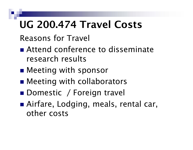# UG 200.474 Travel Costs

Reasons for Travel

- Attend conference to disseminate research results
- ■ Meeting with sponsor
- ■ Meeting with collaborators
- ■ Domestic / Foreign travel
- ■ Airfare, Lodging, meals, rental car, other costs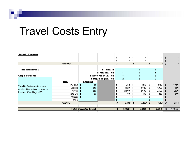# Travel Costs Entry

| <b>Iravel: Donestic</b>                                                    |                      |                              |                             |   |               |            |                          |     |                |    |        |
|----------------------------------------------------------------------------|----------------------|------------------------------|-----------------------------|---|---------------|------------|--------------------------|-----|----------------|----|--------|
|                                                                            |                      |                              |                             |   | $\bullet$ .   | $\ddagger$ | $\sim$                   |     | $\blacksquare$ |    |        |
|                                                                            |                      |                              |                             |   | $\bullet$ .   | 1          | $\sim$                   |     | $\sim$         |    |        |
|                                                                            | <b>Total Trip</b>    |                              |                             |   | $\sim$        | -1         | $\mathcal{L}_{\rm{max}}$ | I.  | $\sim$         | -1 |        |
|                                                                            |                      |                              |                             |   |               |            |                          |     |                |    |        |
| <b>Trip Information</b>                                                    |                      |                              | #Trips/Yr                   |   |               |            |                          |     |                |    |        |
|                                                                            |                      |                              | <b># Persons/Trip</b>       |   | 4             |            |                          |     |                |    |        |
| <b>City &amp; Purpose:</b>                                                 |                      |                              | <b># Days Per Dien/Trip</b> |   | $\mathcal{I}$ |            | 31                       |     |                |    |        |
|                                                                            |                      |                              | # Days Lodging/Trip         |   | $\bar{z}$     |            | 2.                       |     |                |    |        |
|                                                                            | lten.                | <b>Langent</b>               |                             |   |               |            |                          |     |                |    |        |
|                                                                            | Per diem \$          | -36                          |                             | ÷ | 1,152         | 4          | 1,152                    | 1   | $1,152 -$      | -1 | 3,456  |
| <b>Travel to Conference to present</b><br>results. Cost estimates based on | Lodging 1            | 240                          |                             |   | 1,920         | ÷          | 1,920                    | -1  | 1,920          | J. | 5,760  |
|                                                                            | Airford              | -650.                        |                             |   | 2,600         |            | 2,600                    | -1  | 2,600          |    | 7,800  |
| location of Washington DC.                                                 | <b>Rental Carl #</b> | 60                           |                             |   | 180           |            | 180                      |     | 180            |    | 540.   |
|                                                                            | Mileage \$           |                              |                             |   | $\sim$        |            | $\sim$                   |     | $\sim$         |    |        |
|                                                                            | <b>Other</b>         |                              |                             |   | $\sim 10$     |            |                          |     |                |    |        |
|                                                                            | Total Trip           |                              |                             | x | 5,852         | - 1        | 5.852.                   | - 1 | 5,853 \$       |    | N.Y.6. |
|                                                                            |                      |                              |                             |   |               |            |                          |     |                |    |        |
|                                                                            |                      | <b>Total Donestic Travel</b> |                             |   | 5,852         |            | 5,852                    |     | 5,852          |    | 17,556 |
|                                                                            |                      |                              |                             |   |               |            |                          |     |                |    |        |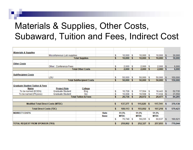#### Materials & Supplies, Other Costs, Subaward, Tuition and Fees, Indirect Cost

| <b>Materials &amp; Supplies</b>            |                            |                                 |             |         |              |         |              |         |              |          |         |
|--------------------------------------------|----------------------------|---------------------------------|-------------|---------|--------------|---------|--------------|---------|--------------|----------|---------|
|                                            | Miscellaneous Lab supplies |                                 |             | \$      | 10,000       | \$      | 10,000       | \$      | 10,000       | <b>S</b> | 30,000  |
|                                            | <b>Total Supplies</b>      |                                 |             |         | 10,000       | s       | 10,000       | S       | 10,000       | s        | 30,000  |
|                                            |                            |                                 |             |         |              |         |              |         |              |          |         |
| <b>Other Costs</b>                         |                            |                                 |             |         |              |         |              |         |              |          |         |
|                                            | Other: Conference Fees     |                                 |             | \$      | 2,000        | S       | 2,000        | S       | 2,000        | S        | 6,000   |
|                                            |                            | <b>Total Other Costs</b>        |             |         | 2,000        | s.      | 2,000        | s       | 2,000        | \$.      | 6,000   |
|                                            |                            |                                 |             |         |              |         |              |         |              |          |         |
| <b>SubRecipient Costs</b>                  |                            |                                 |             |         |              |         |              |         |              |          |         |
|                                            | LSU                        |                                 |             | S.      | 50,000       | S       | 50,000       | S       | 50,000       | S        | 150,000 |
| <b>Total SubRecipient Costs</b>            |                            |                                 |             | 50,000  | \$           | 50,000  | s            | 50,000  | s            | 150,000  |         |
|                                            |                            |                                 |             |         |              |         |              |         |              |          |         |
| <b>Graduate Student Tuition &amp; Fees</b> |                            |                                 |             |         |              |         |              |         |              |          |         |
| Name                                       | <b>Project Role</b>        | College                         |             |         |              |         |              |         |              |          |         |
| To be named (ECEN)                         | <b>Graduate Student</b>    | Eng                             |             | \$      | 16,728       | \$      | 17,564       | S       | 18,443       | S        | 52,735  |
| To be named (Physics)                      | <b>Graduate Student</b>    | Sci                             |             | \$      | 10,008       | S       | 10,508       | \$      | 11,034       | S.       | 31,550  |
|                                            |                            | <b>Total Tuition &amp; Fees</b> |             |         | 26,736       | s       | 28,072       | s       | 29,477       | s        | 84,285  |
|                                            |                            |                                 |             |         |              |         |              |         |              |          |         |
| <b>Modified Total Direct Costs (MTDC)</b>  |                            |                                 |             | \$      | 137,377      | - \$    | $115,020$ \$ |         | $117,741$ \$ |          | 370,138 |
|                                            |                            |                                 |             |         |              |         |              |         |              |          |         |
| <b>Total Direct Costs (TDC)</b>            |                            |                                 |             | \$.     | $189,113$ \$ |         | 193,092 \$   |         | 197,218 \$   |          | 579,423 |
| <b>INDIRECT COSTS</b>                      |                            |                                 | Rate        |         | 51.5%        |         | 51.5%        |         | 51.5%        |          |         |
|                                            |                            |                                 | <b>Base</b> |         | <b>MTDC</b>  |         | <b>MTDC</b>  |         | <b>MTDC</b>  |          |         |
|                                            |                            |                                 |             | \$      | 70,749       | -S      | 59,235       | S       | 60,637       | \$       | 190,621 |
| <b>TOTAL REQUEST FROM SPONSOR (TRS)</b>    |                            |                                 | \$.         | 259,862 | S            | 252,327 | - \$         | 257,855 | - 5          | 770,044  |         |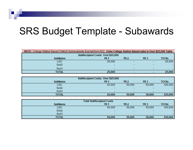#### SRS Budget Template - Subawards

| <b>SubRecipient Costs: First \$25,000</b><br>YR <sub>3</sub><br><b>SubName</b><br><b>YR 2</b><br><b>TOTAL</b><br><b>YR1</b><br>25,000<br><b>LSU</b><br>$\overline{\phantom{0}}$<br>Sub <sub>2</sub><br>Sub3<br><b>TOTAL</b><br>25,000<br>SubRecipient Costs: Over \$25,000<br><b>SubName</b><br>YR <sub>3</sub><br>YR 2<br><b>TOTAL</b><br><b>YR 1</b><br>25,000<br>50,000<br><b>LSU</b><br>50,000<br>Sub <sub>2</sub><br>Sub <sub>3</sub> | NOTE: College Station Based TAMUS Subrecipients Exempt from IDC. Enter College Station Based subs in Over \$25,000 Table |  |  |        |         |  |
|--------------------------------------------------------------------------------------------------------------------------------------------------------------------------------------------------------------------------------------------------------------------------------------------------------------------------------------------------------------------------------------------------------------------------------------------|--------------------------------------------------------------------------------------------------------------------------|--|--|--------|---------|--|
|                                                                                                                                                                                                                                                                                                                                                                                                                                            |                                                                                                                          |  |  |        |         |  |
|                                                                                                                                                                                                                                                                                                                                                                                                                                            |                                                                                                                          |  |  |        |         |  |
|                                                                                                                                                                                                                                                                                                                                                                                                                                            |                                                                                                                          |  |  |        | 25,000  |  |
|                                                                                                                                                                                                                                                                                                                                                                                                                                            |                                                                                                                          |  |  |        |         |  |
|                                                                                                                                                                                                                                                                                                                                                                                                                                            |                                                                                                                          |  |  |        |         |  |
|                                                                                                                                                                                                                                                                                                                                                                                                                                            |                                                                                                                          |  |  |        | 25,000  |  |
|                                                                                                                                                                                                                                                                                                                                                                                                                                            |                                                                                                                          |  |  |        |         |  |
|                                                                                                                                                                                                                                                                                                                                                                                                                                            |                                                                                                                          |  |  |        |         |  |
|                                                                                                                                                                                                                                                                                                                                                                                                                                            |                                                                                                                          |  |  |        |         |  |
|                                                                                                                                                                                                                                                                                                                                                                                                                                            |                                                                                                                          |  |  |        | 125,000 |  |
|                                                                                                                                                                                                                                                                                                                                                                                                                                            |                                                                                                                          |  |  |        |         |  |
|                                                                                                                                                                                                                                                                                                                                                                                                                                            |                                                                                                                          |  |  |        |         |  |
| 25,000<br>50,000                                                                                                                                                                                                                                                                                                                                                                                                                           | <b>TOTAL</b>                                                                                                             |  |  | 50,000 | 125,000 |  |
|                                                                                                                                                                                                                                                                                                                                                                                                                                            |                                                                                                                          |  |  |        |         |  |
| <b>Total SubRecipient Costs</b>                                                                                                                                                                                                                                                                                                                                                                                                            |                                                                                                                          |  |  |        |         |  |
| <b>SubName</b><br><b>TOTAL</b><br><b>YR 2</b><br>YR <sub>3</sub><br><b>YR1</b>                                                                                                                                                                                                                                                                                                                                                             |                                                                                                                          |  |  |        |         |  |
| <b>LSU</b><br>50,000<br>50,000<br>50,000                                                                                                                                                                                                                                                                                                                                                                                                   |                                                                                                                          |  |  |        | 150,000 |  |
| Sub <sub>2</sub>                                                                                                                                                                                                                                                                                                                                                                                                                           |                                                                                                                          |  |  |        |         |  |
| Sub3                                                                                                                                                                                                                                                                                                                                                                                                                                       |                                                                                                                          |  |  |        |         |  |
| <b>TOTAL</b><br>50,000<br>50,000<br>50,000                                                                                                                                                                                                                                                                                                                                                                                                 |                                                                                                                          |  |  |        | 150,000 |  |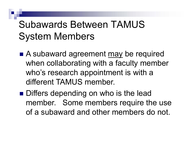# Subawards Between TAMUSSystem Members

- A subaward agreement may be required when collaborating with a faculty member who's research appointment is with a different TAMUS member.
- Differs depending on who is the lead member. Some members require the use of a subaward and other members do not.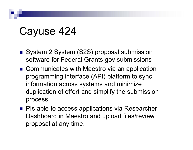# Cayuse 424

- System 2 System (S2S) proposal submission software for Federal Grants.gov submissions
- Communicates with Maestro via an application programming interface (API) platform to sync information across systems and minimize duplication of effort and simplify the submission process.
- PIs able to access applications via Researcher Dashboard in Maestro and upload files/review proposal at any time.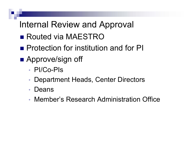#### Internal Review and Approval

- Routed via MAESTRO
- **Protection for institution and for PI**
- **Approve/sign off** 
	- PI/Co-PIs
	- •Department Heads, Center Directors
	- •Deans
	- Member's Research Administration Office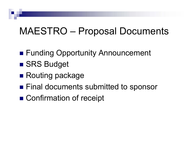## MAESTRO – Proposal Documents

- **Funding Opportunity Announcement**
- SRS Budget
- Routing package
- **Final documents submitted to sponsor**
- Confirmation of receipt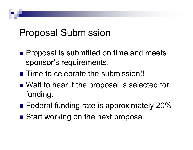### Proposal Submission

- **Proposal is submitted on time and meets** sponsor's requirements.
- Time to celebrate the submission!!
- Wait to hear if the proposal is selected for funding.
- **Example 7 Federal funding rate is approximately 20%**
- Start working on the next proposal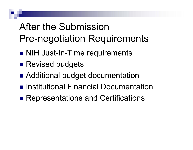# After the SubmissionPre-negotiation Requirements

- NIH Just-In-Time requirements
- **Revised budgets**
- **Additional budget documentation**
- Institutional Financial Documentation
- Representations and Certifications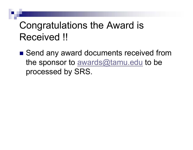## Congratulations the Award is Received !!

■ Send any award documents received from the sponsor to awards@tamu.edu to be processed by SRS.